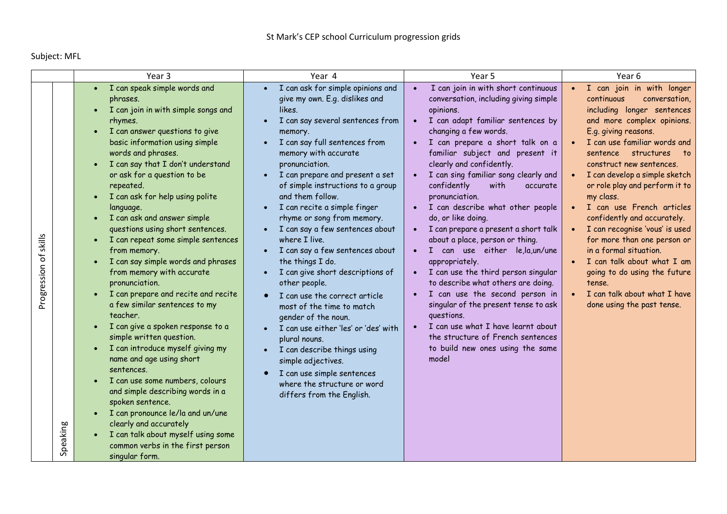Subject: MFL

|                                                 | Year <sub>3</sub>                                                                                                                                                                                                                                                                                                                                                                                                                                                                                                                                                                                                                                                                                                                                                                                                                                                                                                                                                                                                             | Year 4                                                                                                                                                                                                                                                                                                                                                                                                                                                                                                                                                                                                                                                                                                                                                                                                                                                                                                       | Year 5                                                                                                                                                                                                                                                                                                                                                                                                                                                                                                                                                                                                                                                                                                                                                                                                                                                                | Year 6                                                                                                                                                                                                                                                                                                                                                                                                                                                                                                                                                                                                                  |
|-------------------------------------------------|-------------------------------------------------------------------------------------------------------------------------------------------------------------------------------------------------------------------------------------------------------------------------------------------------------------------------------------------------------------------------------------------------------------------------------------------------------------------------------------------------------------------------------------------------------------------------------------------------------------------------------------------------------------------------------------------------------------------------------------------------------------------------------------------------------------------------------------------------------------------------------------------------------------------------------------------------------------------------------------------------------------------------------|--------------------------------------------------------------------------------------------------------------------------------------------------------------------------------------------------------------------------------------------------------------------------------------------------------------------------------------------------------------------------------------------------------------------------------------------------------------------------------------------------------------------------------------------------------------------------------------------------------------------------------------------------------------------------------------------------------------------------------------------------------------------------------------------------------------------------------------------------------------------------------------------------------------|-----------------------------------------------------------------------------------------------------------------------------------------------------------------------------------------------------------------------------------------------------------------------------------------------------------------------------------------------------------------------------------------------------------------------------------------------------------------------------------------------------------------------------------------------------------------------------------------------------------------------------------------------------------------------------------------------------------------------------------------------------------------------------------------------------------------------------------------------------------------------|-------------------------------------------------------------------------------------------------------------------------------------------------------------------------------------------------------------------------------------------------------------------------------------------------------------------------------------------------------------------------------------------------------------------------------------------------------------------------------------------------------------------------------------------------------------------------------------------------------------------------|
| skills<br>$\rm ^{6}$<br>Progression<br>Speaking | · I can speak simple words and<br>phrases.<br>I can join in with simple songs and<br>rhymes.<br>I can answer questions to give<br>basic information using simple<br>words and phrases.<br>I can say that I don't understand<br>or ask for a question to be<br>repeated.<br>I can ask for help using polite<br>language.<br>I can ask and answer simple<br>questions using short sentences.<br>I can repeat some simple sentences<br>from memory.<br>I can say simple words and phrases<br>from memory with accurate<br>pronunciation.<br>I can prepare and recite and recite<br>a few similar sentences to my<br>teacher.<br>I can give a spoken response to a<br>simple written question.<br>I can introduce myself giving my<br>name and age using short<br>sentences.<br>I can use some numbers, colours<br>and simple describing words in a<br>spoken sentence.<br>I can pronounce le/la and un/une<br>clearly and accurately<br>I can talk about myself using some<br>common verbs in the first person<br>singular form. | I can ask for simple opinions and<br>$\bullet$<br>give my own. E.g. dislikes and<br>likes.<br>I can say several sentences from<br>memory.<br>I can say full sentences from<br>memory with accurate<br>pronunciation.<br>I can prepare and present a set<br>of simple instructions to a group<br>and them follow.<br>I can recite a simple finger<br>$\bullet$<br>rhyme or song from memory.<br>I can say a few sentences about<br>$\bullet$<br>where I live.<br>I can say a few sentences about<br>$\bullet$<br>the things I do.<br>I can give short descriptions of<br>$\bullet$<br>other people.<br>I can use the correct article<br>most of the time to match<br>gender of the noun.<br>I can use either 'les' or 'des' with<br>plural nouns.<br>I can describe things using<br>simple adjectives.<br>I can use simple sentences<br>$\bullet$<br>where the structure or word<br>differs from the English. | I can join in with short continuous<br>$\bullet$<br>conversation, including giving simple<br>opinions.<br>I can adapt familiar sentences by<br>$\bullet$<br>changing a few words.<br>I can prepare a short talk on a<br>familiar subject and present it<br>clearly and confidently.<br>I can sing familiar song clearly and<br>confidently<br>with<br>accurate<br>pronunciation.<br>I can describe what other people<br>do, or like doing.<br>I can prepare a present a short talk<br>about a place, person or thing.<br>I can use either le,la,un/une<br>appropriately.<br>I can use the third person singular<br>to describe what others are doing.<br>I can use the second person in<br>singular of the present tense to ask<br>questions.<br>I can use what I have learnt about<br>the structure of French sentences<br>to build new ones using the same<br>model | I can join in with longer<br>continuous<br>conversation,<br>including longer sentences<br>and more complex opinions.<br>E.g. giving reasons.<br>I can use familiar words and<br>structures<br>sentence<br>to t<br>construct new sentences.<br>I can develop a simple sketch<br>or role play and perform it to<br>my class.<br>I can use French articles<br>confidently and accurately.<br>I can recognise 'vous' is used<br>for more than one person or<br>in a formal situation.<br>I can talk about what I am<br>going to do using the future<br>tense.<br>I can talk about what I have<br>done using the past tense. |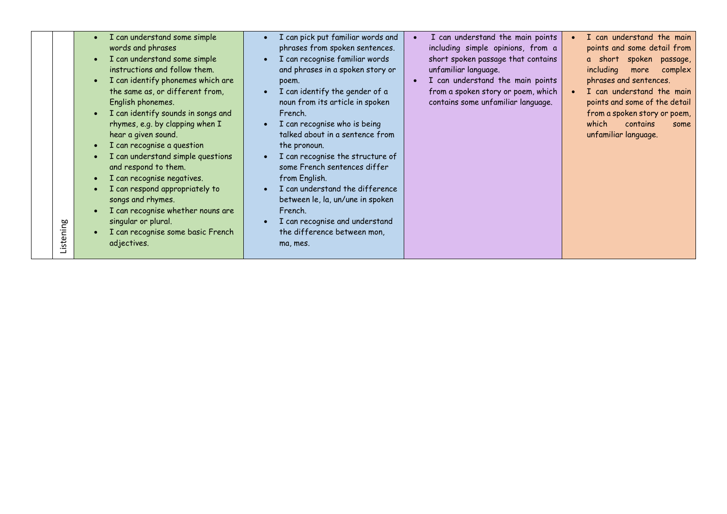| I can understand some simple       | I can pick put familiar words and | I can understand the main points              | I can understand the main              |
|------------------------------------|-----------------------------------|-----------------------------------------------|----------------------------------------|
| words and phrases                  | phrases from spoken sentences.    | including simple opinions, from a             | points and some detail from            |
| I can understand some simple       | I can recognise familiar words    | short spoken passage that contains            | a short spoken passage,                |
| instructions and follow them.      | and phrases in a spoken story or  | unfamiliar language.                          | including<br>more<br>complex           |
| I can identify phonemes which are  | poem.                             | I can understand the main points<br>$\bullet$ | phrases and sentences.                 |
| the same as, or different from,    | I can identify the gender of a    | from a spoken story or poem, which            | I can understand the main<br>$\bullet$ |
| English phonemes.                  | noun from its article in spoken   | contains some unfamiliar language.            | points and some of the detail          |
| I can identify sounds in songs and | French.                           |                                               | from a spoken story or poem,           |
| rhymes, e.g. by clapping when I    | I can recognise who is being      |                                               | which<br>contains<br>some              |
| hear a given sound.                | talked about in a sentence from   |                                               | unfamiliar language.                   |
| I can recognise a question         | the pronoun.                      |                                               |                                        |
| I can understand simple questions  | I can recognise the structure of  |                                               |                                        |
| and respond to them.               | some French sentences differ      |                                               |                                        |
| I can recognise negatives.         | from English.                     |                                               |                                        |
| I can respond appropriately to     | I can understand the difference   |                                               |                                        |
| songs and rhymes.                  | between le, la, un/une in spoken  |                                               |                                        |
| I can recognise whether nouns are  | French.                           |                                               |                                        |
| singular or plural.<br>Listening   | I can recognise and understand    |                                               |                                        |
| I can recognise some basic French  | the difference between mon,       |                                               |                                        |
| adjectives.                        | ma, mes.                          |                                               |                                        |
|                                    |                                   |                                               |                                        |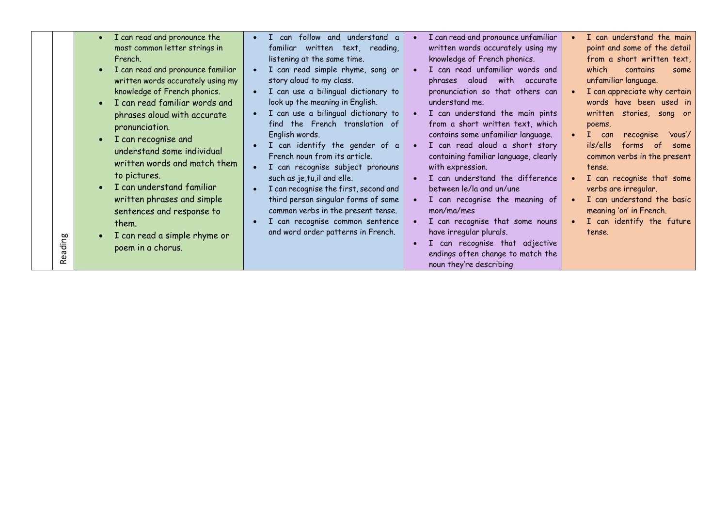|          | I can read and pronounce the<br>$\bullet$<br>most common letter strings in<br>French.<br>$\bullet$                                                                                                                                                                                                                                                                                                                                                                                         | can follow and understand a<br>$\bullet$<br>familiar written text, reading,<br>listening at the same time.<br>$\bullet$                                                                                                                                                                                                                                                                                                                                                                                                                                                                                                                  | I can read and pronounce unfamiliar<br>written words accurately using my<br>knowledge of French phonics.                                                                                                                                                                                                                                                                                                                                                                                                                                                                                | I can understand the main<br>point and some of the detail<br>from a short written text,<br>contains                                                                                                                                                                                                                                                                                                                |
|----------|--------------------------------------------------------------------------------------------------------------------------------------------------------------------------------------------------------------------------------------------------------------------------------------------------------------------------------------------------------------------------------------------------------------------------------------------------------------------------------------------|------------------------------------------------------------------------------------------------------------------------------------------------------------------------------------------------------------------------------------------------------------------------------------------------------------------------------------------------------------------------------------------------------------------------------------------------------------------------------------------------------------------------------------------------------------------------------------------------------------------------------------------|-----------------------------------------------------------------------------------------------------------------------------------------------------------------------------------------------------------------------------------------------------------------------------------------------------------------------------------------------------------------------------------------------------------------------------------------------------------------------------------------------------------------------------------------------------------------------------------------|--------------------------------------------------------------------------------------------------------------------------------------------------------------------------------------------------------------------------------------------------------------------------------------------------------------------------------------------------------------------------------------------------------------------|
| aui<br>ᅙ | I can read and pronounce familiar<br>written words accurately using my<br>knowledge of French phonics.<br>I can read familiar words and<br>$\bullet$<br>phrases aloud with accurate<br>pronunciation.<br>I can recognise and<br>$\bullet$<br>understand some individual<br>written words and match them<br>to pictures.<br>I can understand familiar<br>written phrases and simple<br>sentences and response to<br>them.<br>I can read a simple rhyme or<br>$\bullet$<br>poem in a chorus. | I can read simple rhyme, song or<br>story aloud to my class.<br>I can use a bilingual dictionary to<br>$\bullet$<br>look up the meaning in English.<br>I can use a bilingual dictionary to<br>$\bullet$<br>find the French translation of<br>English words.<br>I can identify the gender of a<br>French noun from its article.<br>I can recognise subject pronouns<br>$\bullet$<br>such as je, tu, il and elle.<br>I can recognise the first, second and<br>$\bullet$<br>third person singular forms of some<br>common verbs in the present tense.<br>I can recognise common sentence<br>$\bullet$<br>and word order patterns in French. | I can read unfamiliar words and<br>aloud with accurate<br>phrases<br>pronunciation so that others can<br>understand me.<br>I can understand the main pints<br>from a short written text, which<br>contains some unfamiliar language.<br>I can read aloud a short story<br>containing familiar language, clearly<br>with expression.<br>I can understand the difference<br>between le/la and un/une<br>I can recognise the meaning of<br>mon/ma/mes<br>I can recognise that some nouns<br>have irregular plurals.<br>I can recognise that adjective<br>endings often change to match the | which<br>some<br>unfamiliar language.<br>I can appreciate why certain<br>words have been used in<br>written stories, song or<br>poems.<br>I can<br>recognise<br>'vous'/<br>ils/ells<br>forms of<br>some<br>common verbs in the present<br>tense.<br>I can recognise that some<br>verbs are irregular.<br>I can understand the basic<br>meaning 'on' in French.<br>I can identify the future<br>$\bullet$<br>tense. |
| ته       |                                                                                                                                                                                                                                                                                                                                                                                                                                                                                            |                                                                                                                                                                                                                                                                                                                                                                                                                                                                                                                                                                                                                                          | noun they're describing                                                                                                                                                                                                                                                                                                                                                                                                                                                                                                                                                                 |                                                                                                                                                                                                                                                                                                                                                                                                                    |